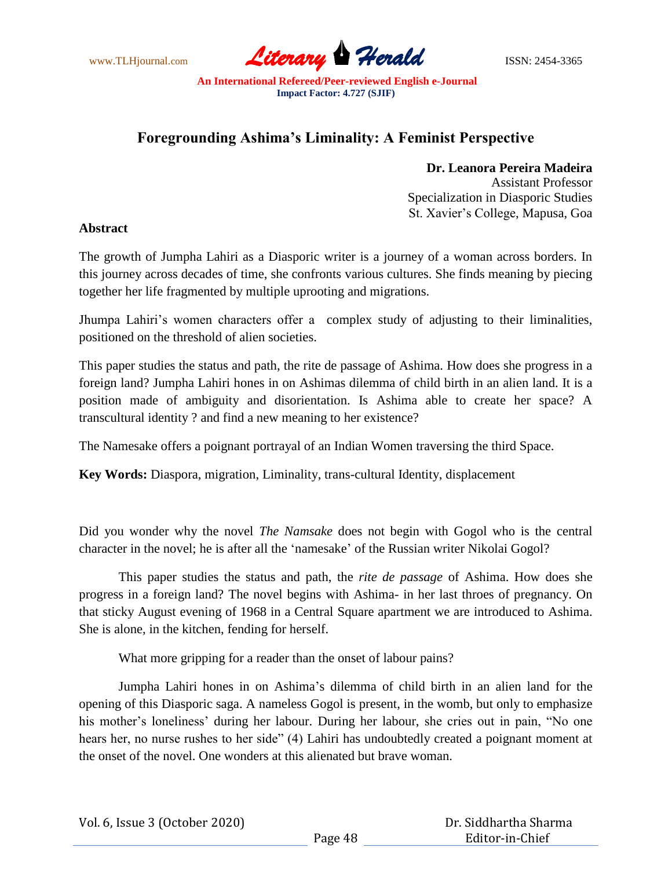www.TLHjournal.com **Literary Herald** ISSN: 2454-3365

# **Foregrounding Ashima's Liminality: A Feminist Perspective**

## **Dr. Leanora Pereira Madeira**

Assistant Professor Specialization in Diasporic Studies St. Xavier"s College, Mapusa, Goa

## **Abstract**

The growth of Jumpha Lahiri as a Diasporic writer is a journey of a woman across borders. In this journey across decades of time, she confronts various cultures. She finds meaning by piecing together her life fragmented by multiple uprooting and migrations.

Jhumpa Lahiri"s women characters offer a complex study of adjusting to their liminalities, positioned on the threshold of alien societies.

This paper studies the status and path, the rite de passage of Ashima. How does she progress in a foreign land? Jumpha Lahiri hones in on Ashimas dilemma of child birth in an alien land. It is a position made of ambiguity and disorientation. Is Ashima able to create her space? A transcultural identity ? and find a new meaning to her existence?

The Namesake offers a poignant portrayal of an Indian Women traversing the third Space.

**Key Words:** Diaspora, migration, Liminality, trans-cultural Identity, displacement

Did you wonder why the novel *The Namsake* does not begin with Gogol who is the central character in the novel; he is after all the "namesake" of the Russian writer Nikolai Gogol?

This paper studies the status and path, the *rite de passage* of Ashima. How does she progress in a foreign land? The novel begins with Ashima- in her last throes of pregnancy. On that sticky August evening of 1968 in a Central Square apartment we are introduced to Ashima. She is alone, in the kitchen, fending for herself.

What more gripping for a reader than the onset of labour pains?

Jumpha Lahiri hones in on Ashima"s dilemma of child birth in an alien land for the opening of this Diasporic saga. A nameless Gogol is present, in the womb, but only to emphasize his mother's loneliness' during her labour. During her labour, she cries out in pain, "No one hears her, no nurse rushes to her side" (4) Lahiri has undoubtedly created a poignant moment at the onset of the novel. One wonders at this alienated but brave woman.

|  | Vol. 6, Issue 3 (October 2020) |
|--|--------------------------------|
|--|--------------------------------|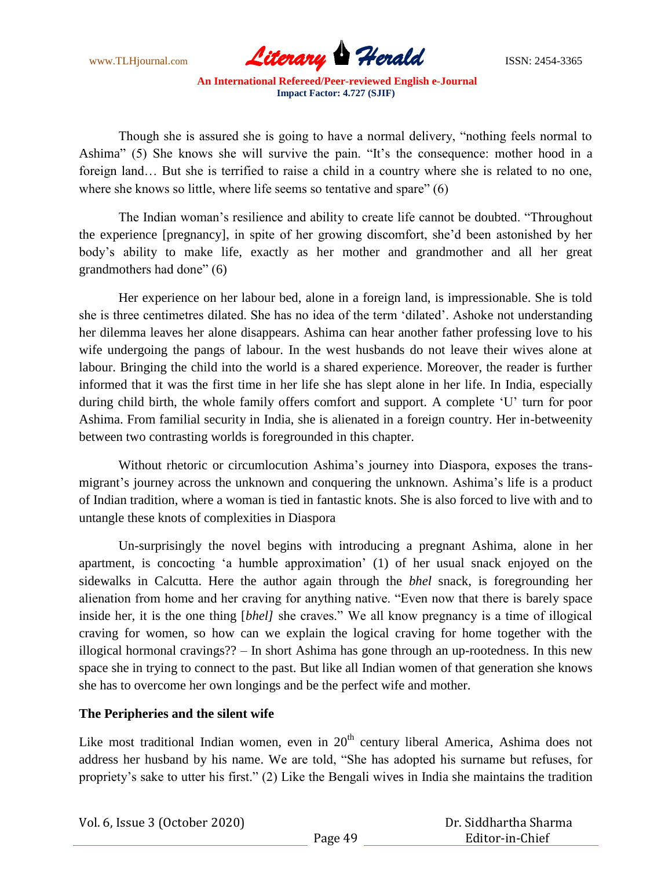

Though she is assured she is going to have a normal delivery, "nothing feels normal to Ashima" (5) She knows she will survive the pain. "It's the consequence: mother hood in a foreign land… But she is terrified to raise a child in a country where she is related to no one, where she knows so little, where life seems so tentative and spare" (6)

The Indian woman"s resilience and ability to create life cannot be doubted. "Throughout the experience [pregnancy], in spite of her growing discomfort, she"d been astonished by her body"s ability to make life, exactly as her mother and grandmother and all her great grandmothers had done" (6)

Her experience on her labour bed, alone in a foreign land, is impressionable. She is told she is three centimetres dilated. She has no idea of the term "dilated". Ashoke not understanding her dilemma leaves her alone disappears. Ashima can hear another father professing love to his wife undergoing the pangs of labour. In the west husbands do not leave their wives alone at labour. Bringing the child into the world is a shared experience. Moreover, the reader is further informed that it was the first time in her life she has slept alone in her life. In India, especially during child birth, the whole family offers comfort and support. A complete "U" turn for poor Ashima. From familial security in India, she is alienated in a foreign country. Her in-betweenity between two contrasting worlds is foregrounded in this chapter.

Without rhetoric or circumlocution Ashima"s journey into Diaspora, exposes the transmigrant's journey across the unknown and conquering the unknown. Ashima's life is a product of Indian tradition, where a woman is tied in fantastic knots. She is also forced to live with and to untangle these knots of complexities in Diaspora

Un-surprisingly the novel begins with introducing a pregnant Ashima, alone in her apartment, is concocting "a humble approximation" (1) of her usual snack enjoyed on the sidewalks in Calcutta. Here the author again through the *bhel* snack, is foregrounding her alienation from home and her craving for anything native. "Even now that there is barely space inside her, it is the one thing [*bhel]* she craves." We all know pregnancy is a time of illogical craving for women, so how can we explain the logical craving for home together with the illogical hormonal cravings?? – In short Ashima has gone through an up-rootedness. In this new space she in trying to connect to the past. But like all Indian women of that generation she knows she has to overcome her own longings and be the perfect wife and mother.

## **The Peripheries and the silent wife**

Like most traditional Indian women, even in  $20<sup>th</sup>$  century liberal America, Ashima does not address her husband by his name. We are told, "She has adopted his surname but refuses, for propriety"s sake to utter his first." (2) Like the Bengali wives in India she maintains the tradition

| Vol. 6, Issue 3 (October 2020) |         | Dr. Siddhartha Sharma |
|--------------------------------|---------|-----------------------|
|                                | Page 49 | Editor-in-Chief       |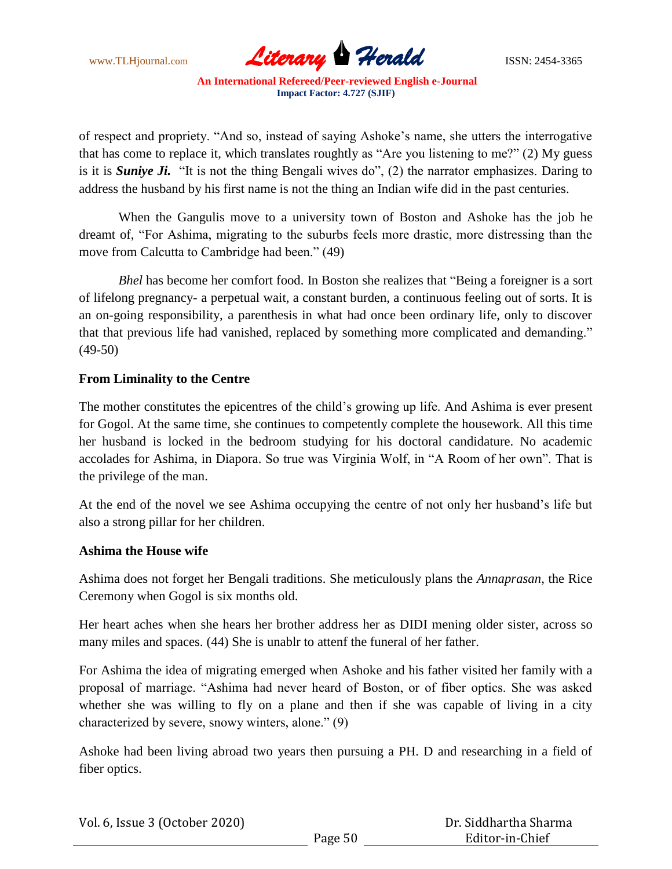

of respect and propriety. "And so, instead of saying Ashoke"s name, she utters the interrogative that has come to replace it, which translates roughtly as "Are you listening to me?" (2) My guess is it is *Suniye Ji.* "It is not the thing Bengali wives do", (2) the narrator emphasizes. Daring to address the husband by his first name is not the thing an Indian wife did in the past centuries.

When the Gangulis move to a university town of Boston and Ashoke has the job he dreamt of, "For Ashima, migrating to the suburbs feels more drastic, more distressing than the move from Calcutta to Cambridge had been." (49)

*Bhel* has become her comfort food. In Boston she realizes that "Being a foreigner is a sort of lifelong pregnancy- a perpetual wait, a constant burden, a continuous feeling out of sorts. It is an on-going responsibility, a parenthesis in what had once been ordinary life, only to discover that that previous life had vanished, replaced by something more complicated and demanding." (49-50)

## **From Liminality to the Centre**

The mother constitutes the epicentres of the child"s growing up life. And Ashima is ever present for Gogol. At the same time, she continues to competently complete the housework. All this time her husband is locked in the bedroom studying for his doctoral candidature. No academic accolades for Ashima, in Diapora. So true was Virginia Wolf, in "A Room of her own". That is the privilege of the man.

At the end of the novel we see Ashima occupying the centre of not only her husband"s life but also a strong pillar for her children.

## **Ashima the House wife**

Ashima does not forget her Bengali traditions. She meticulously plans the *Annaprasan*, the Rice Ceremony when Gogol is six months old.

Her heart aches when she hears her brother address her as DIDI mening older sister, across so many miles and spaces. (44) She is unablr to attenf the funeral of her father.

For Ashima the idea of migrating emerged when Ashoke and his father visited her family with a proposal of marriage. "Ashima had never heard of Boston, or of fiber optics. She was asked whether she was willing to fly on a plane and then if she was capable of living in a city characterized by severe, snowy winters, alone." (9)

Ashoke had been living abroad two years then pursuing a PH. D and researching in a field of fiber optics.

| Vol. 6, Issue 3 (October 2020) |         | Dr. Siddhartha Sharma |
|--------------------------------|---------|-----------------------|
|                                | Page 50 | Editor-in-Chief       |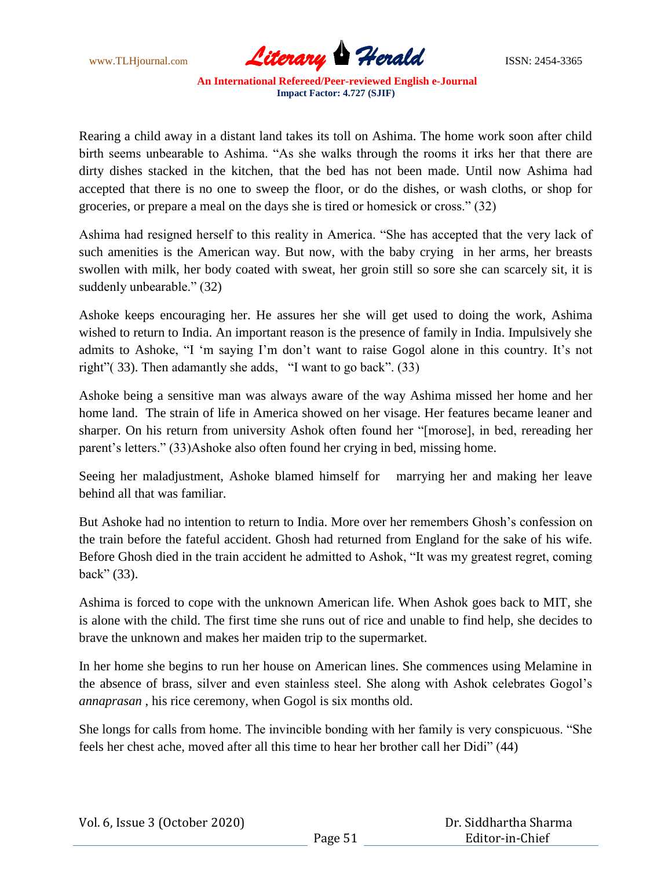

Rearing a child away in a distant land takes its toll on Ashima. The home work soon after child birth seems unbearable to Ashima. "As she walks through the rooms it irks her that there are dirty dishes stacked in the kitchen, that the bed has not been made. Until now Ashima had accepted that there is no one to sweep the floor, or do the dishes, or wash cloths, or shop for groceries, or prepare a meal on the days she is tired or homesick or cross." (32)

Ashima had resigned herself to this reality in America. "She has accepted that the very lack of such amenities is the American way. But now, with the baby crying in her arms, her breasts swollen with milk, her body coated with sweat, her groin still so sore she can scarcely sit, it is suddenly unbearable." (32)

Ashoke keeps encouraging her. He assures her she will get used to doing the work, Ashima wished to return to India. An important reason is the presence of family in India. Impulsively she admits to Ashoke, "I 'm saying I'm don't want to raise Gogol alone in this country. It's not right"( 33). Then adamantly she adds, "I want to go back". (33)

Ashoke being a sensitive man was always aware of the way Ashima missed her home and her home land. The strain of life in America showed on her visage. Her features became leaner and sharper. On his return from university Ashok often found her "[morose], in bed, rereading her parent"s letters." (33)Ashoke also often found her crying in bed, missing home.

Seeing her maladjustment, Ashoke blamed himself for marrying her and making her leave behind all that was familiar.

But Ashoke had no intention to return to India. More over her remembers Ghosh"s confession on the train before the fateful accident. Ghosh had returned from England for the sake of his wife. Before Ghosh died in the train accident he admitted to Ashok, "It was my greatest regret, coming back" (33).

Ashima is forced to cope with the unknown American life. When Ashok goes back to MIT, she is alone with the child. The first time she runs out of rice and unable to find help, she decides to brave the unknown and makes her maiden trip to the supermarket.

In her home she begins to run her house on American lines. She commences using Melamine in the absence of brass, silver and even stainless steel. She along with Ashok celebrates Gogol"s *annaprasan* , his rice ceremony, when Gogol is six months old.

She longs for calls from home. The invincible bonding with her family is very conspicuous. "She feels her chest ache, moved after all this time to hear her brother call her Didi" (44)

|  | Vol. 6, Issue 3 (October 2020) |
|--|--------------------------------|
|--|--------------------------------|

 Dr. Siddhartha Sharma Editor-in-Chief